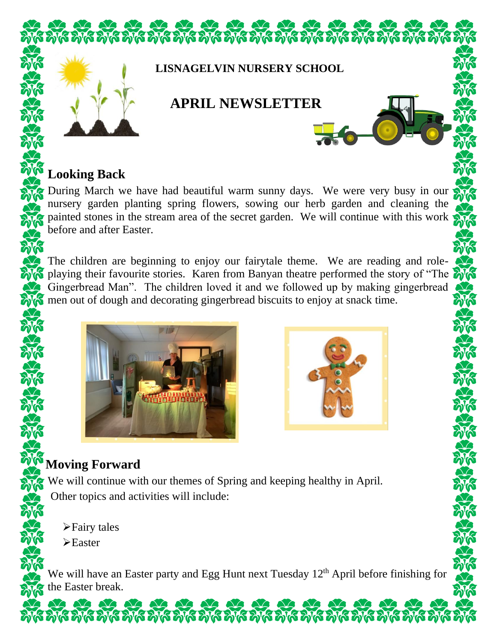

#### **Looking Back**

During March we have had beautiful warm sunny days. We were very busy in our nursery garden planting spring flowers, sowing our herb garden and cleaning the painted stones in the stream area of the secret garden. We will continue with this work before and after Easter.

The children are beginning to enjoy our fairytale theme. We are reading and roleplaying their favourite stories. Karen from Banyan theatre performed the story of "The Gingerbread Man". The children loved it and we followed up by making gingerbread men out of dough and decorating gingerbread biscuits to enjoy at snack time.





## **Moving Forward**

We will continue with our themes of Spring and keeping healthy in April. Other topics and activities will include:

➢Fairy tales

➢Easter

We will have an Easter party and Egg Hunt next Tuesday 12<sup>th</sup> April before finishing for the Easter break.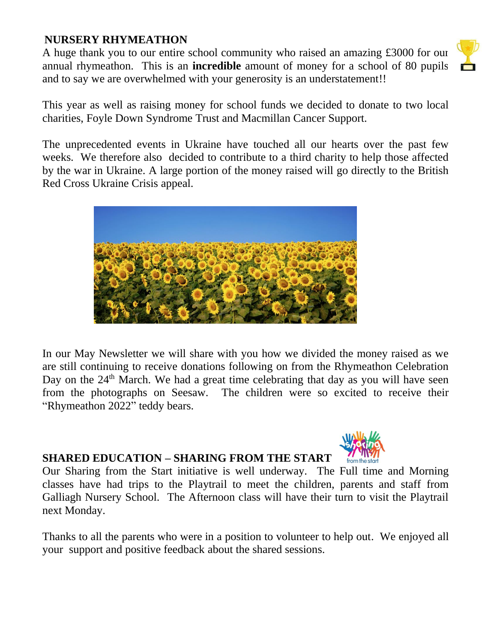#### **NURSERY RHYMEATHON**

A huge thank you to our entire school community who raised an amazing £3000 for our annual rhymeathon. This is an **incredible** amount of money for a school of 80 pupils and to say we are overwhelmed with your generosity is an understatement!!



The unprecedented events in Ukraine have touched all our hearts over the past few weeks. We therefore also decided to contribute to a third charity to help those affected by the war in Ukraine. A large portion of the money raised will go directly to the British Red Cross Ukraine Crisis appeal.



In our May Newsletter we will share with you how we divided the money raised as we are still continuing to receive donations following on from the Rhymeathon Celebration Day on the 24<sup>th</sup> March. We had a great time celebrating that day as you will have seen from the photographs on Seesaw. The children were so excited to receive their "Rhymeathon 2022" teddy bears.

### **SHARED EDUCATION – SHARING FROM THE START**

Our Sharing from the Start initiative is well underway. The Full time and Morning classes have had trips to the Playtrail to meet the children, parents and staff from Galliagh Nursery School. The Afternoon class will have their turn to visit the Playtrail next Monday.

Thanks to all the parents who were in a position to volunteer to help out. We enjoyed all your support and positive feedback about the shared sessions.



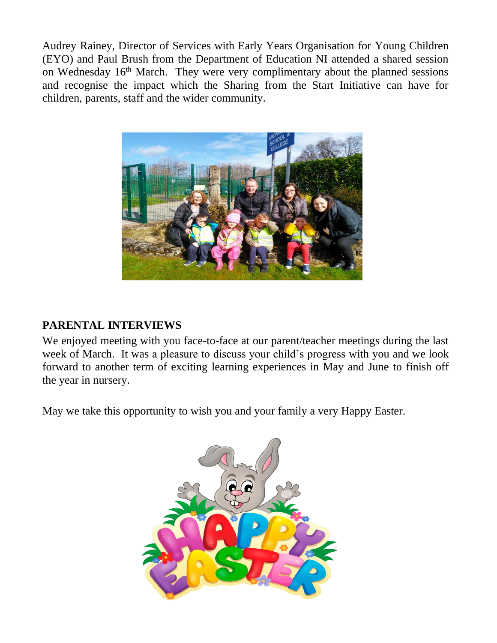Audrey Rainey, Director of Services with Early Years Organisation for Young Children (EYO) and Paul Brush from the Department of Education NI attended a shared session on Wednesday  $16<sup>th</sup>$  March. They were very complimentary about the planned sessions and recognise the impact which the Sharing from the Start Initiative can have for children, parents, staff and the wider community.



#### **PARENTAL INTERVIEWS**

We enjoyed meeting with you face-to-face at our parent/teacher meetings during the last week of March. It was a pleasure to discuss your child's progress with you and we look forward to another term of exciting learning experiences in May and June to finish off the year in nursery.

May we take this opportunity to wish you and your family a very Happy Easter.

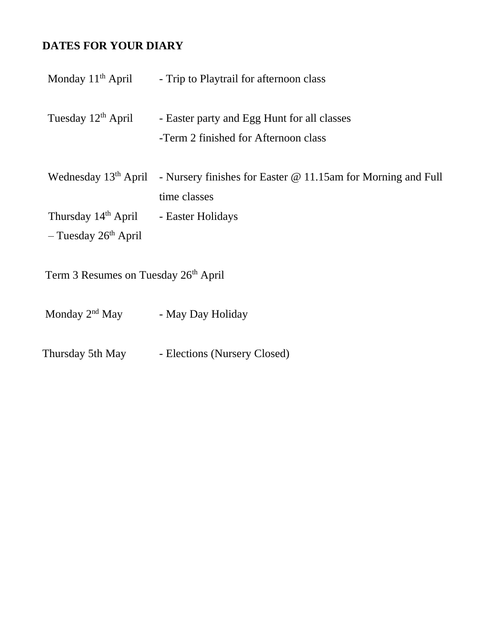#### **DATES FOR YOUR DIARY**

| Monday $11th$ April                                                   | - Trip to Playtrail for afternoon class                                             |  |
|-----------------------------------------------------------------------|-------------------------------------------------------------------------------------|--|
| Tuesday 12 <sup>th</sup> April                                        | - Easter party and Egg Hunt for all classes<br>-Term 2 finished for Afternoon class |  |
| Wednesday 13 <sup>th</sup> April                                      | - Nursery finishes for Easter @ 11.15am for Morning and Full<br>time classes        |  |
| Thursday 14 <sup>th</sup> April<br>$-$ Tuesday 26 <sup>th</sup> April | - Easter Holidays                                                                   |  |
| Term 3 Resumes on Tuesday 26th April                                  |                                                                                     |  |

Monday 2<sup>nd</sup> May - May Day Holiday

Thursday 5th May - Elections (Nursery Closed)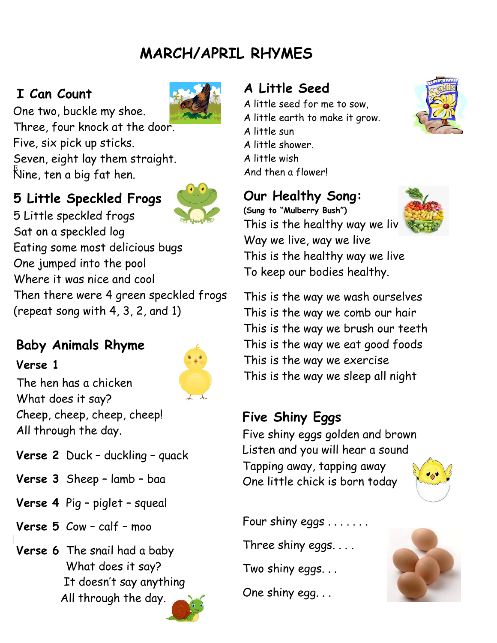# **MARCH/APRIL RHYMES**

## **I Can Count**



One two, buckle my shoe. Three, four knock at the door. Five, six pick up sticks. Seven, eight lay them straight. Nine, ten a big fat hen. <sup>E</sup>

## **5 Little Speckled Frogs**



5 Little speckled frogs Sat on a speckled log Eating some most delicious bugs One jumped into the pool Where it was nice and cool Then there were 4 green speckled frogs (repeat song with 4, 3, 2, and 1)

# **Baby Animals Rhyme**

#### **Verse 1**



The hen has a chicken What does it say? Cheep, cheep, cheep, cheep! All through the day.

- **Verse 2** Duck duckling quack
- **Verse 3** Sheep lamb baa
- **Verse 4** Pig piglet squeal
- **Verse 5** Cow calf moo
- **Fairy Tales**  What does it say?  $T_1$  according to **Verse 6** The snail had a baby It doesn't say anything All through the day.

## **A Little Seed**

A little seed for me to sow, A little earth to make it grow. A little sun A little shower.

A little wish

And then a flower!

## **Our Healthy Song:**



**(Sung to "Mulberry Bush")** This is the healthy way we liv Way we live, way we live This is the healthy way we live To keep our bodies healthy.

This is the way we wash ourselves This is the way we comb our hair This is the way we brush our teeth This is the way we eat good foods This is the way we exercise This is the way we sleep all night

## **Five Shiny Eggs**

Five shiny eggs golden and brown Listen and you will hear a sound Tapping away, tapping away One little chick is born today



Four shiny eggs . . . . . . . Three shiny eggs. . . . Two shiny eggs. . . One shiny egg. . .